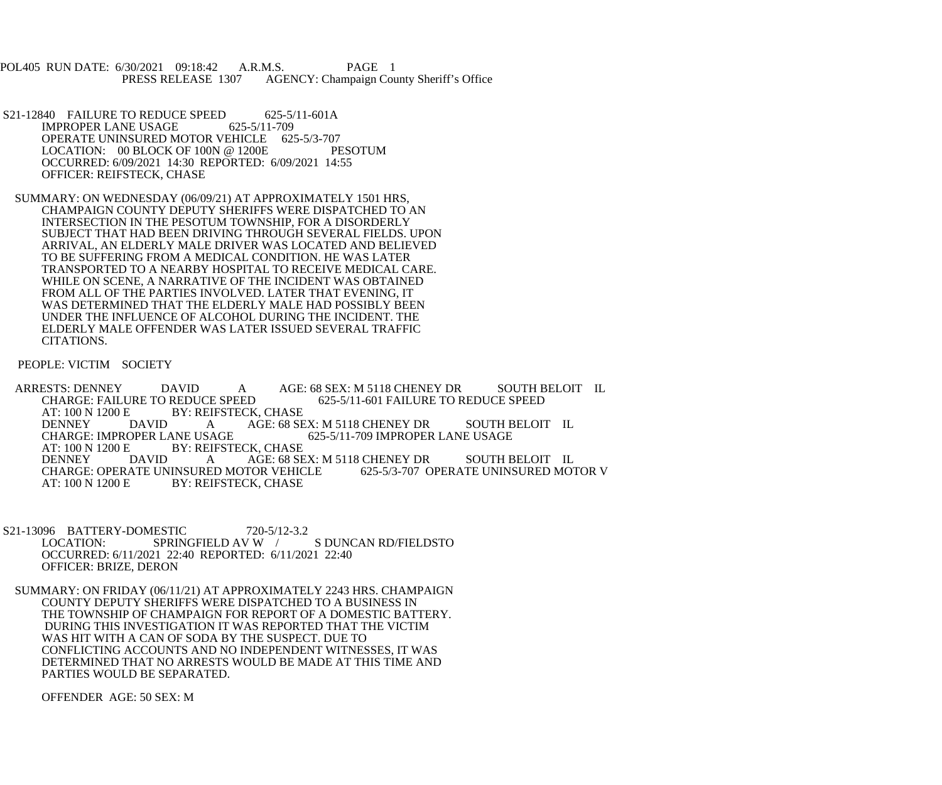POL405 RUN DATE: 6/30/2021 09:18:42 A.R.M.S. PAGE 1<br>PRESS RELEASE 1307 AGENCY: Champaign Cou AGENCY: Champaign County Sheriff's Office

- S21-12840 FAILURE TO REDUCE SPEED 625-5/11-601A<br>IMPROPER LANE USAGE 625-5/11-709 IMPROPER LANE USAGE OPERATE UNINSURED MOTOR VEHICLE 625-5/3-707<br>LOCATION: 00 BLOCK OF 100N @ 1200E PESOTUM LOCATION:  $00$  BLOCK OF 100N @ 1200E OCCURRED: 6/09/2021 14:30 REPORTED: 6/09/2021 14:55 OFFICER: REIFSTECK, CHASE
- SUMMARY: ON WEDNESDAY (06/09/21) AT APPROXIMATELY 1501 HRS, CHAMPAIGN COUNTY DEPUTY SHERIFFS WERE DISPATCHED TO AN INTERSECTION IN THE PESOTUM TOWNSHIP, FOR A DISORDERLY SUBJECT THAT HAD BEEN DRIVING THROUGH SEVERAL FIELDS. UPON ARRIVAL, AN ELDERLY MALE DRIVER WAS LOCATED AND BELIEVED TO BE SUFFERING FROM A MEDICAL CONDITION. HE WAS LATER TRANSPORTED TO A NEARBY HOSPITAL TO RECEIVE MEDICAL CARE. WHILE ON SCENE, A NARRATIVE OF THE INCIDENT WAS OBTAINED FROM ALL OF THE PARTIES INVOLVED. LATER THAT EVENING, IT WAS DETERMINED THAT THE ELDERLY MALE HAD POSSIBLY BEEN UNDER THE INFLUENCE OF ALCOHOL DURING THE INCIDENT. THE ELDERLY MALE OFFENDER WAS LATER ISSUED SEVERAL TRAFFIC CITATIONS.

PEOPLE: VICTIM SOCIETY

ARRESTS: DENNEY DAVID A AGE: 68 SEX: M 5118 CHENEY DR SOUTH BELOIT IL<br>CHARGE: FAILURE TO REDUCE SPEED 625-5/11-601 FAILURE TO REDUCE SPEED CHARGE: FAILURE TO REDUCE SPEED 625-5/11-601 FAILURE TO REDUCE SPEED AT: 100 N 1200 E BY: REIFSTECK, CHASE<br>DENNEY DAVID A AGE: 68 SE DENNEY DAVID A AGE: 68 SEX: M 5118 CHENEY DR SOUTH BELOIT IL CHARGE: IMPROPER LANE USAGE 625-5/11-709 IMPROPER LANE USAGE CHARGE: IMPROPER LANE USAGE 625-5/11-709 IMPROPER LANE USAGE<br>AT: 100 N 1200 E BY: REIFSTECK. CHASE AT: 100 N 1200 E BY: REIFSTECK, CHASE<br>DENNEY DAVID A AGE: 68 SE DAVID A AGE: 68 SEX: M 5118 CHENEY DR SOUTH BELOIT IL<br>ATE UNINSURED MOTOR VEHICLE 625-5/3-707 OPERATE UNINSURED MOTOR V CHARGE: OPERATE UNINSURED MOTOR VEHICLE AT: 100 N 1200 E BY: REIFSTECK, CHASE

- S21-13096 BATTERY-DOMESTIC 720-5/12-3.2<br>LOCATION: SPRINGFIELD AV W S DUNCAN RD/FIELDSTO OCCURRED: 6/11/2021 22:40 REPORTED: 6/11/2021 22:40 OFFICER: BRIZE, DERON
- SUMMARY: ON FRIDAY (06/11/21) AT APPROXIMATELY 2243 HRS. CHAMPAIGN COUNTY DEPUTY SHERIFFS WERE DISPATCHED TO A BUSINESS IN THE TOWNSHIP OF CHAMPAIGN FOR REPORT OF A DOMESTIC BATTERY. DURING THIS INVESTIGATION IT WAS REPORTED THAT THE VICTIM WAS HIT WITH A CAN OF SODA BY THE SUSPECT. DUE TO CONFLICTING ACCOUNTS AND NO INDEPENDENT WITNESSES, IT WAS DETERMINED THAT NO ARRESTS WOULD BE MADE AT THIS TIME AND PARTIES WOULD BE SEPARATED.

OFFENDER AGE: 50 SEX: M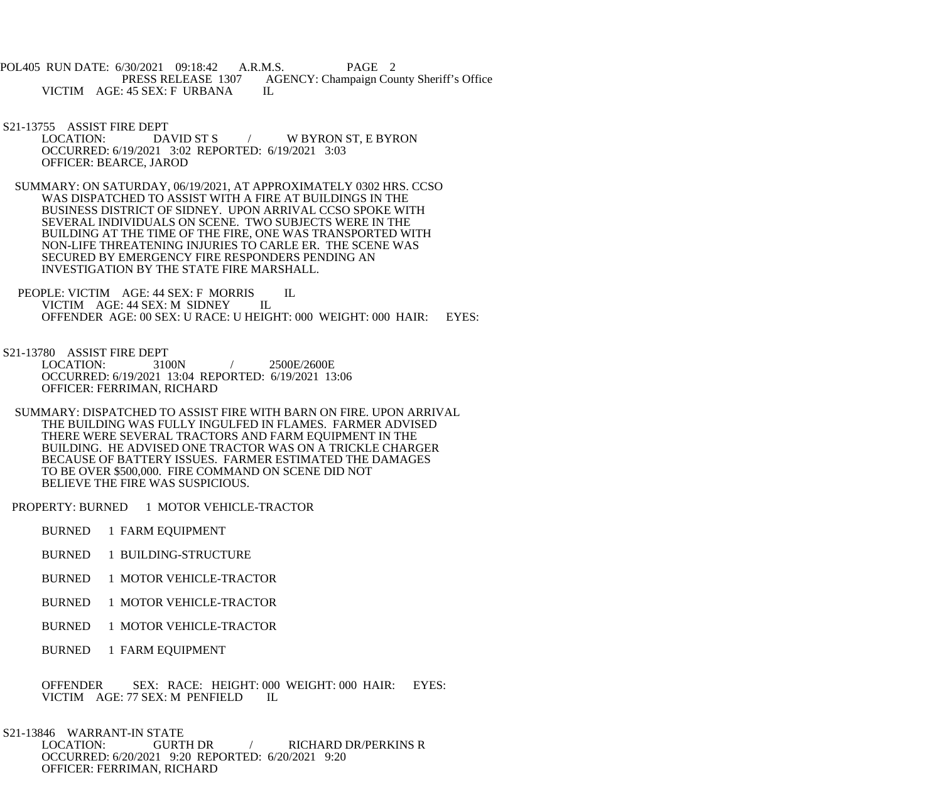POL405 RUN DATE: 6/30/2021 09:18:42 A.R.M.S. PAGE 2<br>PRESS RELEASE 1307 AGENCY: Champaign Cou AGENCY: Champaign County Sheriff's Office VICTIM AGE: 45 SEX: F URBANA IL

S21-13755 ASSIST FIRE DEPT<br>LOCATION: DAVID ST S LOCATION: DAVID ST S / W BYRON ST, E BYRON OCCURRED: 6/19/2021 3:02 REPORTED: 6/19/2021 3:03 OFFICER: BEARCE, JAROD

 SUMMARY: ON SATURDAY, 06/19/2021, AT APPROXIMATELY 0302 HRS. CCSO WAS DISPATCHED TO ASSIST WITH A FIRE AT BUILDINGS IN THE BUSINESS DISTRICT OF SIDNEY. UPON ARRIVAL CCSO SPOKE WITH SEVERAL INDIVIDUALS ON SCENE. TWO SUBJECTS WERE IN THE BUILDING AT THE TIME OF THE FIRE, ONE WAS TRANSPORTED WITH NON-LIFE THREATENING INJURIES TO CARLE ER. THE SCENE WAS SECURED BY EMERGENCY FIRE RESPONDERS PENDING AN INVESTIGATION BY THE STATE FIRE MARSHALL.

PEOPLE: VICTIM AGE: 44 SEX: F MORRIS IL<br>VICTIM AGE: 44 SEX: M SIDNEY IL VICTIM AGE: 44 SEX: M SIDNEY OFFENDER AGE: 00 SEX: U RACE: U HEIGHT: 000 WEIGHT: 000 HAIR: EYES:

S21-13780 ASSIST FIRE DEPT<br>LOCATION: 3100N

LOCATION: 3100N / 2500E/2600E OCCURRED: 6/19/2021 13:04 REPORTED: 6/19/2021 13:06 OFFICER: FERRIMAN, RICHARD

 SUMMARY: DISPATCHED TO ASSIST FIRE WITH BARN ON FIRE. UPON ARRIVAL THE BUILDING WAS FULLY INGULFED IN FLAMES. FARMER ADVISED THERE WERE SEVERAL TRACTORS AND FARM EQUIPMENT IN THE BUILDING. HE ADVISED ONE TRACTOR WAS ON A TRICKLE CHARGER BECAUSE OF BATTERY ISSUES. FARMER ESTIMATED THE DAMAGES TO BE OVER \$500,000. FIRE COMMAND ON SCENE DID NOT BELIEVE THE FIRE WAS SUSPICIOUS.

PROPERTY: BURNED 1 MOTOR VEHICLE-TRACTOR

- BURNED 1 FARM EQUIPMENT
- BURNED 1 BUILDING-STRUCTURE
- BURNED 1 MOTOR VEHICLE-TRACTOR
- BURNED 1 MOTOR VEHICLE-TRACTOR
- BURNED 1 MOTOR VEHICLE-TRACTOR
- BURNED 1 FARM EQUIPMENT

 OFFENDER SEX: RACE: HEIGHT: 000 WEIGHT: 000 HAIR: EYES: VICTIM AGE: 77 SEX: M PENFIELD IL

 S21-13846 WARRANT-IN STATE LOCATION: GURTH DR / RICHARD DR/PERKINS R OCCURRED: 6/20/2021 9:20 REPORTED: 6/20/2021 9:20 OFFICER: FERRIMAN, RICHARD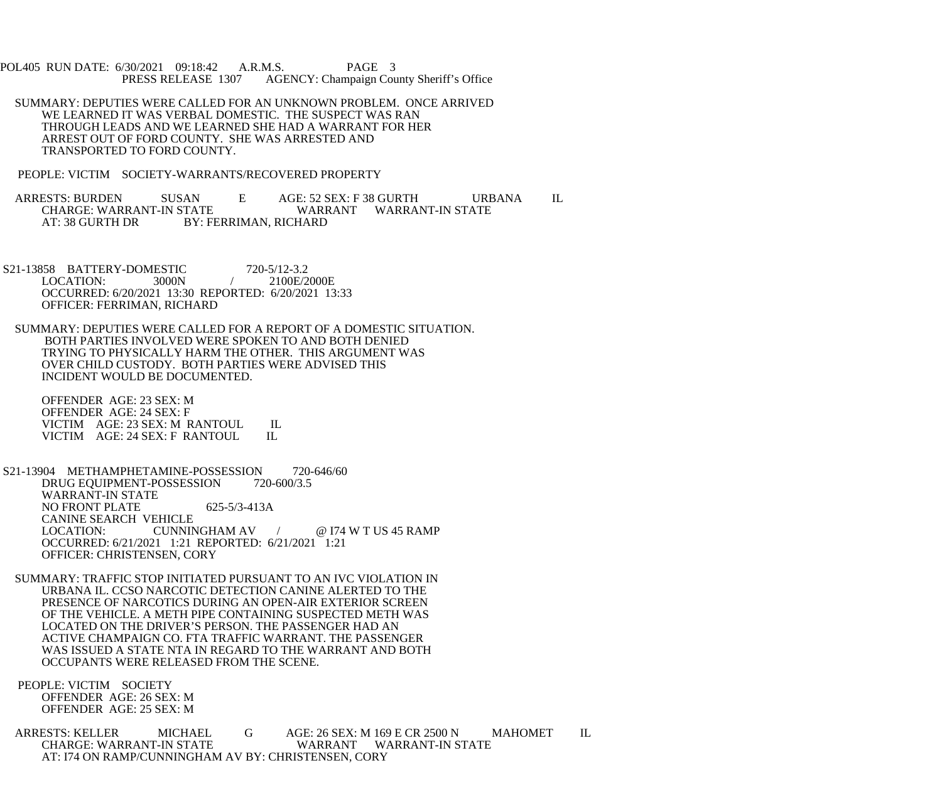POL405 RUN DATE: 6/30/2021 09:18:42 A.R.M.S. PAGE 3<br>PRESS RELEASE 1307 AGENCY: Champaign Cou AGENCY: Champaign County Sheriff's Office

 SUMMARY: DEPUTIES WERE CALLED FOR AN UNKNOWN PROBLEM. ONCE ARRIVED WE LEARNED IT WAS VERBAL DOMESTIC. THE SUSPECT WAS RAN THROUGH LEADS AND WE LEARNED SHE HAD A WARRANT FOR HER ARREST OUT OF FORD COUNTY. SHE WAS ARRESTED AND TRANSPORTED TO FORD COUNTY.

PEOPLE: VICTIM SOCIETY-WARRANTS/RECOVERED PROPERTY

ARRESTS: BURDEN SUSAN E AGE: 52 SEX: F 38 GURTH URBANA IL CHARGE: WARRANT-IN STATE CHARGE: WARRANT-IN STATE WARRANT WARRANT-IN STATE BY: FERRIMAN, RICHARD

S21-13858 BATTERY-DOMESTIC 720-5/12-3.2<br>LOCATION: 3000N / 2100E/2000E LOCATION: OCCURRED: 6/20/2021 13:30 REPORTED: 6/20/2021 13:33 OFFICER: FERRIMAN, RICHARD

 SUMMARY: DEPUTIES WERE CALLED FOR A REPORT OF A DOMESTIC SITUATION. BOTH PARTIES INVOLVED WERE SPOKEN TO AND BOTH DENIED TRYING TO PHYSICALLY HARM THE OTHER. THIS ARGUMENT WAS OVER CHILD CUSTODY. BOTH PARTIES WERE ADVISED THIS INCIDENT WOULD BE DOCUMENTED.

 OFFENDER AGE: 23 SEX: M OFFENDER AGE: 24 SEX: F VICTIM AGE: 23 SEX: M RANTOUL IL<br>VICTIM AGE: 24 SEX: F RANTOUL IL VICTIM AGE: 24 SEX: F RANTOUL

 S21-13904 METHAMPHETAMINE-POSSESSION 720-646/60 DRUG EQUIPMENT-POSSESSION 720-600/3.5 WARRANT-IN STATE NO FRONT PLATE 625-5/3-413A CANINE SEARCH VEHICLE LOCATION: CUNNINGHAM AV / @ I74 W T US 45 RAMP OCCURRED: 6/21/2021 1:21 REPORTED: 6/21/2021 1:21 OFFICER: CHRISTENSEN, CORY

 SUMMARY: TRAFFIC STOP INITIATED PURSUANT TO AN IVC VIOLATION IN URBANA IL. CCSO NARCOTIC DETECTION CANINE ALERTED TO THE PRESENCE OF NARCOTICS DURING AN OPEN-AIR EXTERIOR SCREEN OF THE VEHICLE. A METH PIPE CONTAINING SUSPECTED METH WAS LOCATED ON THE DRIVER'S PERSON. THE PASSENGER HAD AN ACTIVE CHAMPAIGN CO. FTA TRAFFIC WARRANT. THE PASSENGER WAS ISSUED A STATE NTA IN REGARD TO THE WARRANT AND BOTH OCCUPANTS WERE RELEASED FROM THE SCENE.

 PEOPLE: VICTIM SOCIETY OFFENDER AGE: 26 SEX: M OFFENDER AGE: 25 SEX: M

ARRESTS: KELLER MICHAEL G AGE: 26 SEX: M 169 E CR 2500 N MAHOMET IL CHARGE: WARRANT-IN STATE WARRANT WARRANT-IN STATE AT: I74 ON RAMP/CUNNINGHAM AV BY: CHRISTENSEN, CORY